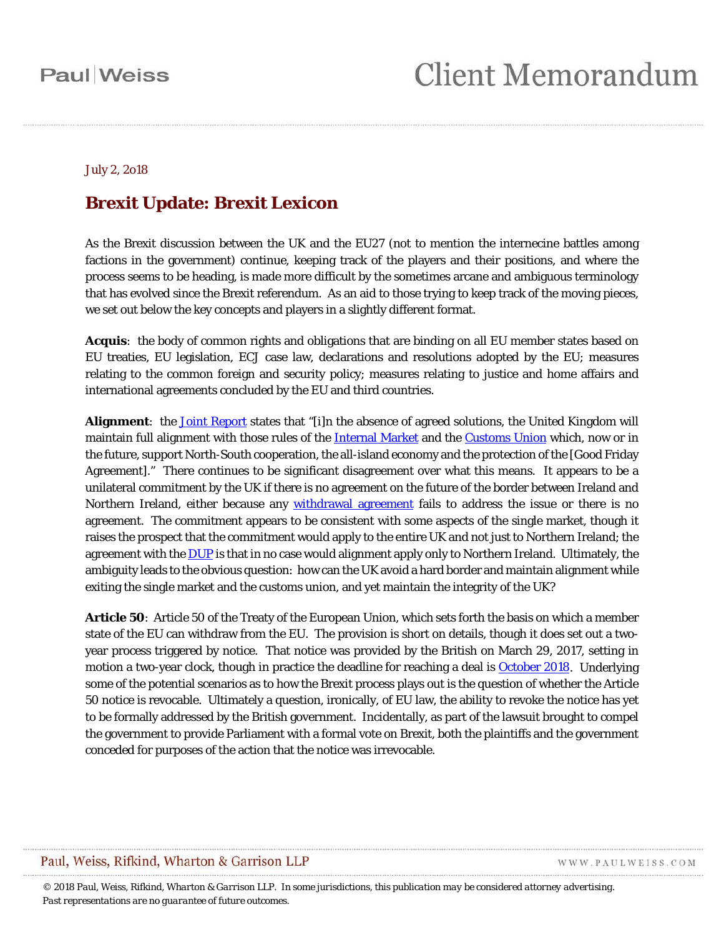#### July 2, 2o18

#### **Brexit Update: Brexit Lexicon**

As the Brexit discussion between the UK and the EU27 (not to mention the internecine battles among factions in the government) continue, keeping track of the players and their positions, and where the process seems to be heading, is made more difficult by the sometimes arcane and ambiguous terminology that has evolved since the Brexit referendum. As an aid to those trying to keep track of the moving pieces, we set out below the key concepts and players in a slightly different format.

<span id="page-0-0"></span>*Acquis*: the body of common rights and obligations that are binding on all EU member states based on EU treaties, EU legislation, ECJ case law, declarations and resolutions adopted by the EU; measures relating to the common foreign and security policy; measures relating to justice and home affairs and international agreements concluded by the EU and third countries.

**Alignment**: the [Joint Report](#page-7-0) states that "[i]n the absence of agreed solutions, the United Kingdom will maintain full alignment with those rules of the [Internal Market](#page-11-0) and the [Customs Union](#page-3-0) which, now or in the future, support North-South cooperation, the all-island economy and the protection of the [Good Friday Agreement]." There continues to be significant disagreement over what this means. It appears to be a unilateral commitment by the UK if there is no agreement on the future of the border between Ireland and Northern Ireland, either because any [withdrawal agreement](#page-14-0) fails to address the issue or there is no agreement. The commitment appears to be consistent with some aspects of the single market, though it raises the prospect that the commitment would apply to the entire UK and not just to Northern Ireland; the agreement with the [DUP](#page-14-1) is that in no case would alignment apply only to Northern Ireland. Ultimately, the ambiguity leads to the obvious question: how can the UK avoid a hard border and maintain alignment while exiting the single market and the customs union, and yet maintain the integrity of the UK?

**Article 50**: Article 50 of the Treaty of the European Union, which sets forth the basis on which a member state of the EU can withdraw from the EU. The provision is short on details, though it does set out a twoyear process triggered by notice. That notice was provided by the British on March 29, 2017, setting in motion a two-year clock, though in practice the deadline for reaching a deal is [October 2018.](#page-9-0) Underlying some of the potential scenarios as to how the Brexit process plays out is the question of whether the Article 50 notice is revocable. Ultimately a question, ironically, of EU law, the ability to revoke the notice has yet to be formally addressed by the British government. Incidentally, as part of the lawsuit brought to compel the government to provide Parliament with a formal vote on Brexit, both the plaintiffs and the government conceded for purposes of the action that the notice was irrevocable.

#### Paul, Weiss, Rifkind, Wharton & Garrison LLP

WWW.PAULWEISS.COM

*© 2018 Paul, Weiss, Rifkind, Wharton & Garrison LLP. In some jurisdictions, this publication may be considered attorney advertising. Past representations are no guarantee of future outcomes.*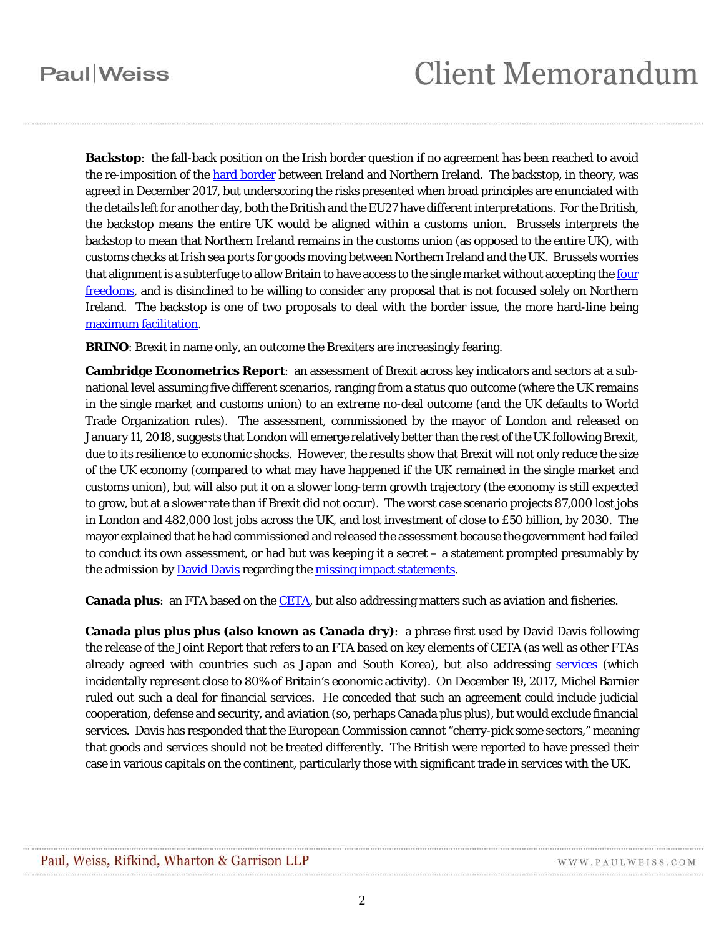## **Client Memorandum**

**Backstop**: the fall-back position on the Irish border question if no agreement has been reached to avoid the re-imposition of the [hard border](#page-6-0) between Ireland and Northern Ireland. The backstop, in theory, was agreed in December 2017, but underscoring the risks presented when broad principles are enunciated with the details left for another day, both the British and the EU27 have different interpretations. For the British, the backstop means the entire UK would be aligned within a customs union. Brussels interprets the backstop to mean that Northern Ireland remains in the customs union (as opposed to the entire UK), with customs checks at Irish sea ports for goods moving between Northern Ireland and the UK. Brussels worries that alignment is a subterfuge to allow Britain to have access to the single market without accepting the four [freedoms,](#page-6-1) and is disinclined to be willing to consider any proposal that is not focused solely on Northern Ireland. The backstop is one of two proposals to deal with the border issue, the more hard-line being maximum [facilitation.](#page-8-0)

**BRINO**: Brexit in name only, an outcome the Brexiters are increasingly fearing.

**Cambridge Econometrics Report**: an assessment of Brexit across key indicators and sectors at a subnational level assuming five different scenarios, ranging from a status quo outcome (where the UK remains in the single market and customs union) to an extreme no-deal outcome (and the UK defaults to World Trade Organization rules). The assessment, commissioned by the mayor of London and released on January 11, 2018, suggests that London will emerge relatively better than the rest of the UK following Brexit, due to its resilience to economic shocks. However, the results show that Brexit will not only reduce the size of the UK economy (compared to what may have happened if the UK remained in the single market and customs union), but will also put it on a slower long-term growth trajectory (the economy is still expected to grow, but at a slower rate than if Brexit did not occur). The worst case scenario projects 87,000 lost jobs in London and 482,000 lost jobs across the UK, and lost investment of close to £50 billion, by 2030. The mayor explained that he had commissioned and released the assessment because the government had failed to conduct its own assessment, or had but was keeping it a secret – a statement prompted presumably by the admission by **David Davis** regarding the [missing impact statements.](#page-8-1)

**Canada plus**: an FTA based on the [CETA,](#page-2-0) but also addressing matters such as aviation and fisheries.

**Canada plus plus plus (also known as Canada dry)**: a phrase first used by David Davis following the release of the Joint Report that refers to an FTA based on key elements of CETA (as well as other FTAs already agreed with countries such as Japan and South Korea), but also addressing [services](#page-11-1) (which incidentally represent close to 80% of Britain's economic activity). On December 19, 2017, Michel Barnier ruled out such a deal for financial services. He conceded that such an agreement could include judicial cooperation, defense and security, and aviation (so, perhaps Canada plus plus), but would exclude financial services. Davis has responded that the European Commission cannot "cherry-pick some sectors," meaning that goods and services should not be treated differently. The British were reported to have pressed their case in various capitals on the continent, particularly those with significant trade in services with the UK.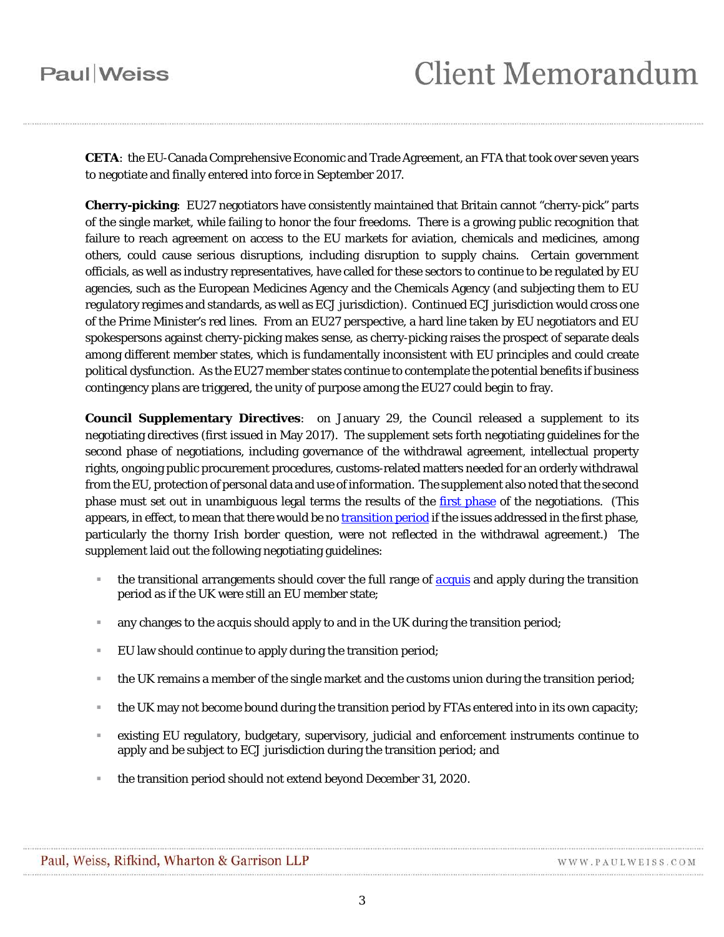<span id="page-2-0"></span>**CETA**: the EU-Canada Comprehensive Economic and Trade Agreement, an FTA that took over seven years to negotiate and finally entered into force in September 2017.

<span id="page-2-1"></span>**Cherry-picking**: EU27 negotiators have consistently maintained that Britain cannot "cherry-pick" parts of the single market, while failing to honor the four freedoms. There is a growing public recognition that failure to reach agreement on access to the EU markets for aviation, chemicals and medicines, among others, could cause serious disruptions, including disruption to supply chains. Certain government officials, as well as industry representatives, have called for these sectors to continue to be regulated by EU agencies, such as the European Medicines Agency and the Chemicals Agency (and subjecting them to EU regulatory regimes and standards, as well as ECJ jurisdiction). Continued ECJ jurisdiction would cross one of the Prime Minister's red lines. From an EU27 perspective, a hard line taken by EU negotiators and EU spokespersons against cherry-picking makes sense, as cherry-picking raises the prospect of separate deals among different member states, which is fundamentally inconsistent with EU principles and could create political dysfunction. As the EU27 member states continue to contemplate the potential benefits if business contingency plans are triggered, the unity of purpose among the EU27 could begin to fray.

<span id="page-2-2"></span>**Council Supplementary Directives**: on January 29, the Council released a supplement to its negotiating directives (first issued in May 2017). The supplement sets forth negotiating guidelines for the second phase of negotiations, including governance of the withdrawal agreement, intellectual property rights, ongoing public procurement procedures, customs-related matters needed for an orderly withdrawal from the EU, protection of personal data and use of information. The supplement also noted that the second phase must set out in unambiguous legal terms the results of the *first phase* of the negotiations. (This appears, in effect, to mean that there would be n[o transition](#page-13-0) period if the issues addressed in the first phase, particularly the thorny Irish border question, were not reflected in the withdrawal agreement.) The supplement laid out the following negotiating guidelines:

- the transitional arrangements should cover the full range of *[acquis](#page-0-0)* and apply during the transition period as if the UK were still an EU member state;
- any changes to the *acquis* should apply to and in the UK during the transition period;
- EU law should continue to apply during the transition period;
- the UK remains a member of the single market and the customs union during the transition period;
- the UK may not become bound during the transition period by FTAs entered into in its own capacity;
- existing EU regulatory, budgetary, supervisory, judicial and enforcement instruments continue to apply and be subject to ECJ jurisdiction during the transition period; and
- the transition period should not extend beyond December 31, 2020.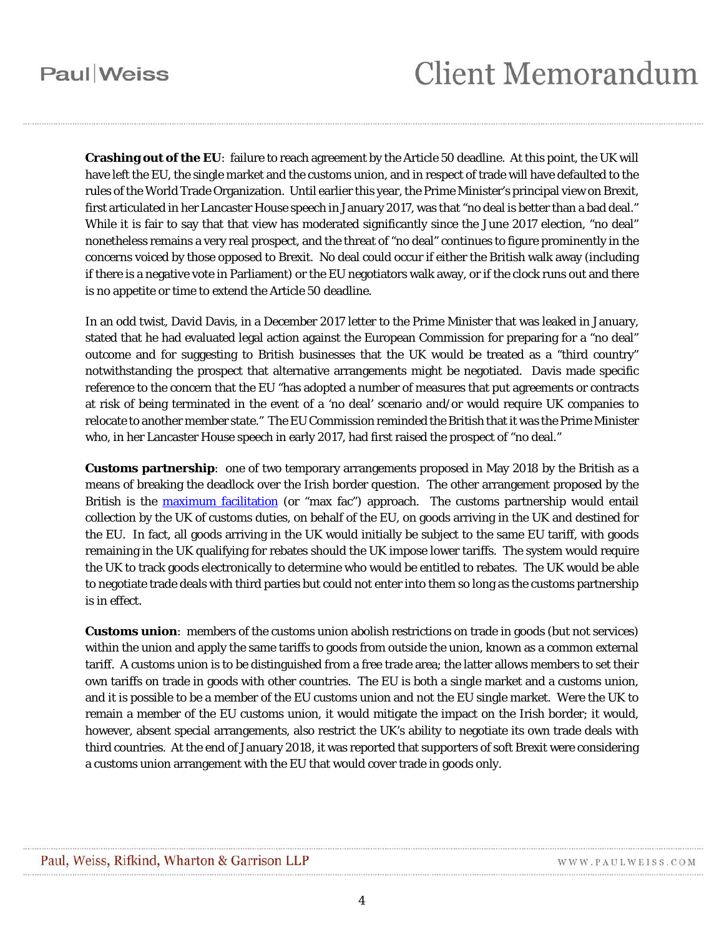## **Client Memorandum**

<span id="page-3-1"></span>**Crashing out of the EU**: failure to reach agreement by the Article 50 deadline. At this point, the UK will have left the EU, the single market and the customs union, and in respect of trade will have defaulted to the rules of the World Trade Organization. Until earlier this year, the Prime Minister's principal view on Brexit, first articulated in her Lancaster House speech in January 2017, was that "no deal is better than a bad deal." While it is fair to say that that view has moderated significantly since the June 2017 election, "no deal" nonetheless remains a very real prospect, and the threat of "no deal" continues to figure prominently in the concerns voiced by those opposed to Brexit. No deal could occur if either the British walk away (including if there is a negative vote in Parliament) or the EU negotiators walk away, or if the clock runs out and there is no appetite or time to extend the Article 50 deadline.

In an odd twist, David Davis, in a December 2017 letter to the Prime Minister that was leaked in January, stated that he had evaluated legal action against the European Commission for preparing for a "no deal" outcome and for suggesting to British businesses that the UK would be treated as a "third country" notwithstanding the prospect that alternative arrangements might be negotiated. Davis made specific reference to the concern that the EU "has adopted a number of measures that put agreements or contracts at risk of being terminated in the event of a 'no deal' scenario and/or would require UK companies to relocate to another member state." The EU Commission reminded the British that it was the Prime Minister who, in her Lancaster House speech in early 2017, had first raised the prospect of "no deal."

<span id="page-3-0"></span>**Customs partnership**: one of two temporary arrangements proposed in May 2018 by the British as a means of breaking the deadlock over the Irish border question. The other arrangement proposed by the British is the **maximum facilitation** (or "max fac") approach. The customs partnership would entail collection by the UK of customs duties, on behalf of the EU, on goods arriving in the UK and destined for the EU. In fact, all goods arriving in the UK would initially be subject to the same EU tariff, with goods remaining in the UK qualifying for rebates should the UK impose lower tariffs. The system would require the UK to track goods electronically to determine who would be entitled to rebates. The UK would be able to negotiate trade deals with third parties but could not enter into them so long as the customs partnership is in effect.

**Customs union**: members of the customs union abolish restrictions on trade in goods (but not services) within the union and apply the same tariffs to goods from outside the union, known as a common external tariff. A customs union is to be distinguished from a free trade area; the latter allows members to set their own tariffs on trade in goods with other countries. The EU is both a single market and a customs union, and it is possible to be a member of the EU customs union and not the EU single market. Were the UK to remain a member of the EU customs union, it would mitigate the impact on the Irish border; it would, however, absent special arrangements, also restrict the UK's ability to negotiate its own trade deals with third countries. At the end of January 2018, it was reported that supporters of soft Brexit were considering a customs union arrangement with the EU that would cover trade in goods only.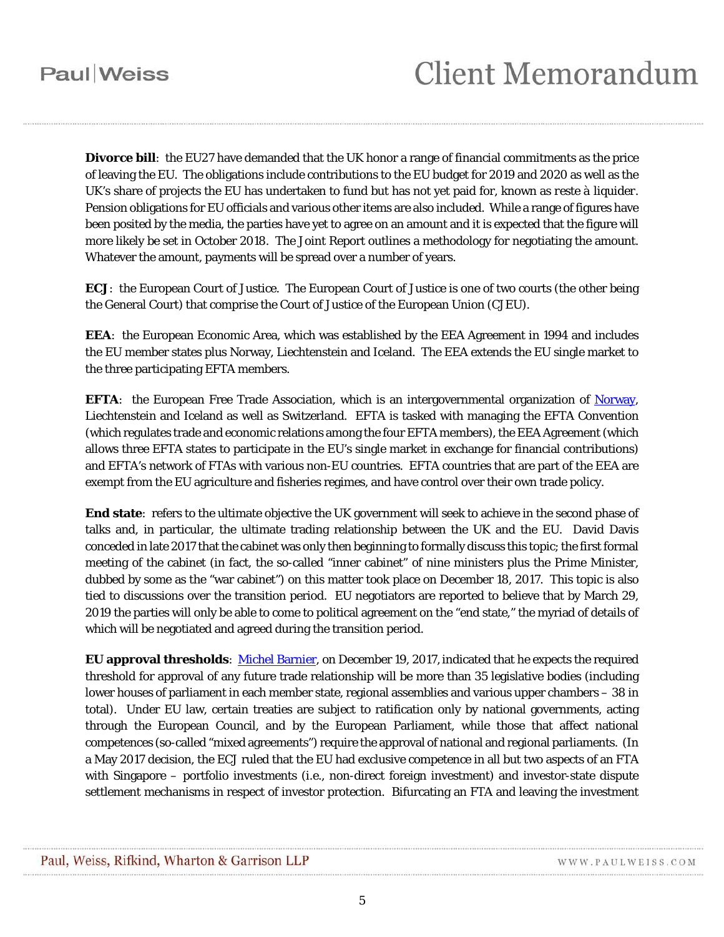**Divorce bill**: the EU27 have demanded that the UK honor a range of financial commitments as the price of leaving the EU. The obligations include contributions to the EU budget for 2019 and 2020 as well as the UK's share of projects the EU has undertaken to fund but has not yet paid for, known as *reste à liquider.*  Pension obligations for EU officials and various other items are also included. While a range of figures have been posited by the media, the parties have yet to agree on an amount and it is expected that the figure will more likely be set in October 2018. The Joint Report outlines a methodology for negotiating the amount. Whatever the amount, payments will be spread over a number of years.

**ECJ**: the European Court of Justice. The European Court of Justice is one of two courts (the other being the General Court) that comprise the Court of Justice of the European Union (CJEU).

**EEA**: the European Economic Area, which was established by the EEA Agreement in 1994 and includes the EU member states plus Norway, Liechtenstein and Iceland. The EEA extends the EU single market to the three participating EFTA members.

**EFTA:** the European Free Trade Association, which is an intergovernmental organization of Norway, Liechtenstein and Iceland as well as Switzerland. EFTA is tasked with managing the EFTA Convention (which regulates trade and economic relations among the four EFTA members), the EEA Agreement (which allows three EFTA states to participate in the EU's single market in exchange for financial contributions) and EFTA's network of FTAs with various non-EU countries. EFTA countries that are part of the EEA are exempt from the EU agriculture and fisheries regimes, and have control over their own trade policy.

**End state**: refers to the ultimate objective the UK government will seek to achieve in the second phase of talks and, in particular, the ultimate trading relationship between the UK and the EU. David Davis conceded in late 2017 that the cabinet was only then beginning to formally discuss this topic; the first formal meeting of the cabinet (in fact, the so-called "inner cabinet" of nine ministers plus the Prime Minister, dubbed by some as the "war cabinet") on this matter took place on December 18, 2017. This topic is also tied to discussions over the transition period. EU negotiators are reported to believe that by March 29, 2019 the parties will only be able to come to political agreement on the "end state," the myriad of details of which will be negotiated and agreed during the transition period.

**EU approval thresholds**: [Michel Barnier,](#page-14-3) on December 19, 2017, indicated that he expects the required threshold for approval of any future trade relationship will be more than 35 legislative bodies (including lower houses of parliament in each member state, regional assemblies and various upper chambers – 38 in total). Under EU law, certain treaties are subject to ratification only by national governments, acting through the European Council, and by the European Parliament, while those that affect national competences (so-called "mixed agreements") require the approval of national and regional parliaments. (In a May 2017 decision, the ECJ ruled that the EU had exclusive competence in all but two aspects of an FTA with Singapore – portfolio investments (*i.e.*, non-direct foreign investment) and investor-state dispute settlement mechanisms in respect of investor protection. Bifurcating an FTA and leaving the investment

WWW.PAULWEISS.COM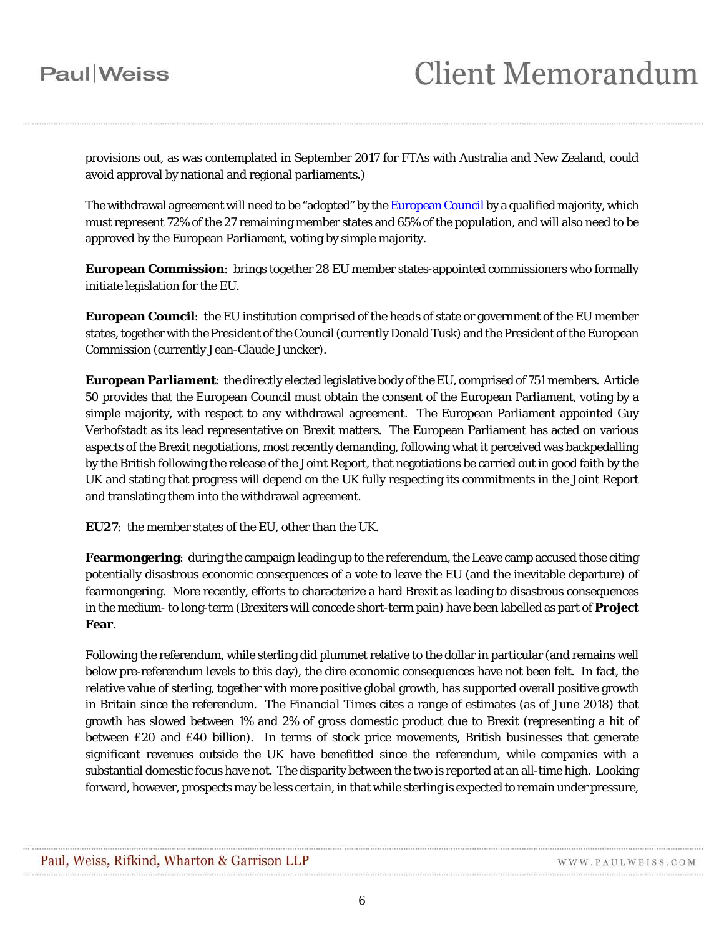provisions out, as was contemplated in September 2017 for FTAs with Australia and New Zealand, could avoid approval by national and regional parliaments.)

The withdrawal agreement will need to be "adopted" by th[e European Council](#page-5-0) by a qualified majority, which must represent 72% of the 27 remaining member states and 65% of the population, and will also need to be approved by the European Parliament, voting by simple majority.

**European Commission**: brings together 28 EU member states-appointed commissioners who formally initiate legislation for the EU.

<span id="page-5-0"></span>**European Council**: the EU institution comprised of the heads of state or government of the EU member states, together with the President of the Council (currently Donald Tusk) and the President of the European Commission (currently Jean-Claude Juncker).

**European Parliament**: the directly elected legislative body of the EU, comprised of 751 members. Article 50 provides that the European Council must obtain the consent of the European Parliament, voting by a simple majority, with respect to any withdrawal agreement. The European Parliament appointed Guy Verhofstadt as its lead representative on Brexit matters. The European Parliament has acted on various aspects of the Brexit negotiations, most recently demanding, following what it perceived was backpedalling by the British following the release of the Joint Report, that negotiations be carried out in good faith by the UK and stating that progress will depend on the UK fully respecting its commitments in the Joint Report and translating them into the withdrawal agreement.

**EU27**: the member states of the EU, other than the UK.

**Fearmongering**: during the campaign leading up to the referendum, the Leave camp accused those citing potentially disastrous economic consequences of a vote to leave the EU (and the inevitable departure) of fearmongering. More recently, efforts to characterize a hard Brexit as leading to disastrous consequences in the medium- to long-term (Brexiters will concede short-term pain) have been labelled as part of **Project Fear**.

Following the referendum, while sterling did plummet relative to the dollar in particular (and remains well below pre-referendum levels to this day), the dire economic consequences have not been felt. In fact, the relative value of sterling, together with more positive global growth, has supported overall positive growth in Britain since the referendum. The *Financial Times* cites a range of estimates (as of June 2018) that growth has slowed between 1% and 2% of gross domestic product due to Brexit (representing a hit of between £20 and £40 billion). In terms of stock price movements, British businesses that generate significant revenues outside the UK have benefitted since the referendum, while companies with a substantial domestic focus have not. The disparity between the two is reported at an all-time high. Looking forward, however, prospects may be less certain, in that while sterling is expected to remain under pressure,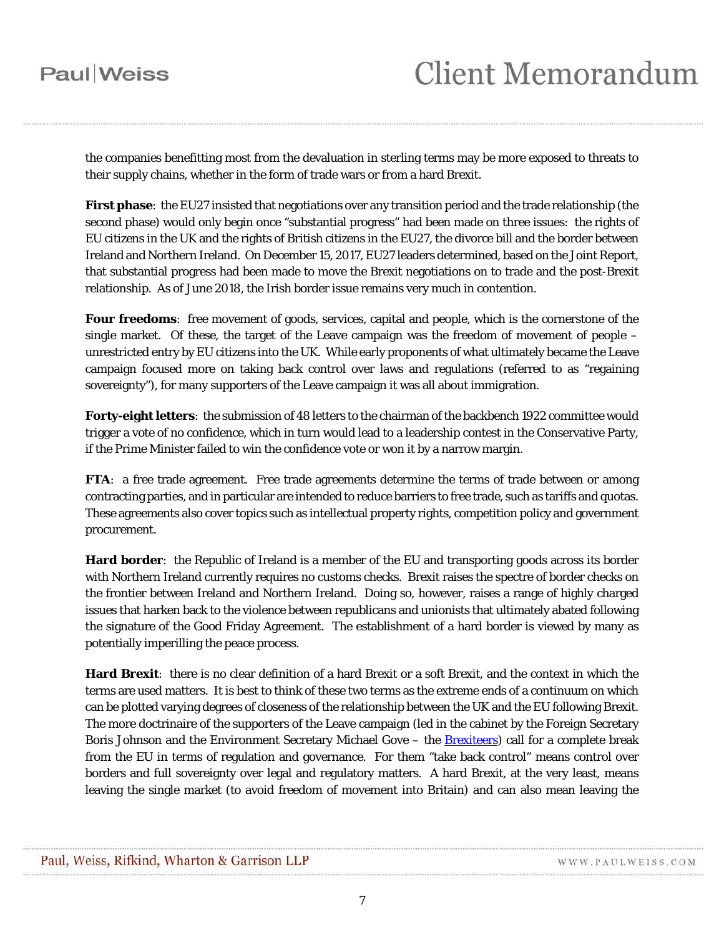the companies benefitting most from the devaluation in sterling terms may be more exposed to threats to their supply chains, whether in the form of trade wars or from a hard Brexit.

<span id="page-6-2"></span>**First phase**: the EU27 insisted that negotiations over any transition period and the trade relationship (the second phase) would only begin once "substantial progress" had been made on three issues: the rights of EU citizens in the UK and the rights of British citizens in the EU27, the divorce bill and the border between Ireland and Northern Ireland. On December 15, 2017, EU27 leaders determined, based on the Joint Report, that substantial progress had been made to move the Brexit negotiations on to trade and the post-Brexit relationship. As of June 2018, the Irish border issue remains very much in contention.

<span id="page-6-1"></span>**Four freedoms**: free movement of goods, services, capital and people, which is the cornerstone of the single market. Of these, the target of the Leave campaign was the freedom of movement of people – unrestricted entry by EU citizens into the UK. While early proponents of what ultimately became the Leave campaign focused more on taking back control over laws and regulations (referred to as "regaining sovereignty"), for many supporters of the Leave campaign it was all about immigration.

**Forty-eight letters**: the submission of 48 letters to the chairman of the backbench 1922 committee would trigger a vote of no confidence, which in turn would lead to a leadership contest in the Conservative Party, if the Prime Minister failed to win the confidence vote or won it by a narrow margin.

**FTA**: a free trade agreement. Free trade agreements determine the terms of trade between or among contracting parties, and in particular are intended to reduce barriers to free trade, such as tariffs and quotas. These agreements also cover topics such as intellectual property rights, competition policy and government procurement.

<span id="page-6-0"></span>**Hard border**: the Republic of Ireland is a member of the EU and transporting goods across its border with Northern Ireland currently requires no customs checks. Brexit raises the spectre of border checks on the frontier between Ireland and Northern Ireland. Doing so, however, raises a range of highly charged issues that harken back to the violence between republicans and unionists that ultimately abated following the signature of the Good Friday Agreement. The establishment of a hard border is viewed by many as potentially imperilling the peace process.

**Hard Brexit**: there is no clear definition of a hard Brexit or a soft Brexit, and the context in which the terms are used matters. It is best to think of these two terms as the extreme ends of a continuum on which can be plotted varying degrees of closeness of the relationship between the UK and the EU following Brexit. The more doctrinaire of the supporters of the Leave campaign (led in the cabinet by the Foreign Secretary Boris Johnson and the Environment Secretary Michael Gove – the [Brexiteers\)](#page-14-4) call for a complete break from the EU in terms of regulation and governance. For them "take back control" means control over borders and full sovereignty over legal and regulatory matters. A hard Brexit, at the very least, means leaving the single market (to avoid freedom of movement into Britain) and can also mean leaving the

WWW.PAULWEISS.COM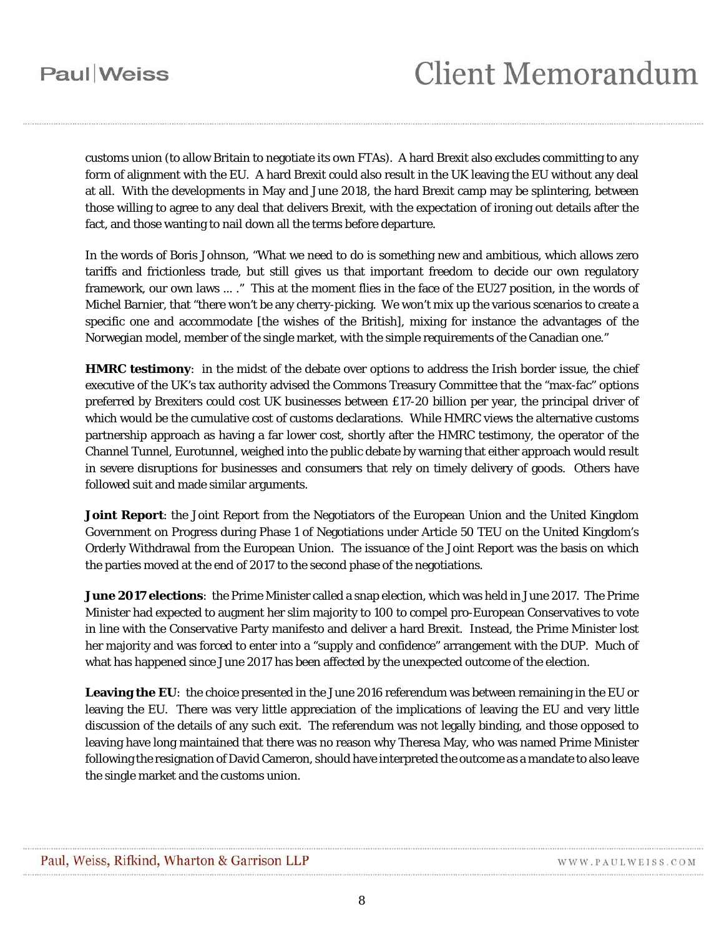customs union (to allow Britain to negotiate its own FTAs). A hard Brexit also excludes committing to any form of alignment with the EU. A hard Brexit could also result in the UK leaving the EU without any deal at all. With the developments in May and June 2018, the hard Brexit camp may be splintering, between those willing to agree to any deal that delivers Brexit, with the expectation of ironing out details after the fact, and those wanting to nail down all the terms before departure.

In the words of Boris Johnson, "What we need to do is something new and ambitious, which allows zero tariffs and frictionless trade, but still gives us that important freedom to decide our own regulatory framework, our own laws ... ." This at the moment flies in the face of the EU27 position, in the words of Michel Barnier, that "there won't be any cherry-picking. We won't mix up the various scenarios to create a specific one and accommodate [the wishes of the British], mixing for instance the advantages of the Norwegian model, member of the single market, with the simple requirements of the Canadian one."

**HMRC testimony**: in the midst of the debate over options to address the Irish border issue, the chief executive of the UK's tax authority advised the Commons Treasury Committee that the "max-fac" options preferred by Brexiters could cost UK businesses between £17-20 billion per year, the principal driver of which would be the cumulative cost of customs declarations. While HMRC views the alternative customs partnership approach as having a far lower cost, shortly after the HMRC testimony, the operator of the Channel Tunnel, Eurotunnel, weighed into the public debate by warning that either approach would result in severe disruptions for businesses and consumers that rely on timely delivery of goods. Others have followed suit and made similar arguments.

<span id="page-7-0"></span>**Joint Report**: the Joint Report from the Negotiators of the European Union and the United Kingdom Government on Progress during Phase 1 of Negotiations under Article 50 TEU on the United Kingdom's Orderly Withdrawal from the European Union. The issuance of the Joint Report was the basis on which the parties moved at the end of 2017 to the second phase of the negotiations.

**June 2017 elections**: the Prime Minister called a snap election, which was held in June 2017. The Prime Minister had expected to augment her slim majority to 100 to compel pro-European Conservatives to vote in line with the Conservative Party manifesto and deliver a hard Brexit. Instead, the Prime Minister lost her majority and was forced to enter into a "supply and confidence" arrangement with the DUP. Much of what has happened since June 2017 has been affected by the unexpected outcome of the election.

**Leaving the EU**: the choice presented in the June 2016 referendum was between remaining in the EU or leaving the EU. There was very little appreciation of the implications of leaving the EU and very little discussion of the details of any such exit. The referendum was not legally binding, and those opposed to leaving have long maintained that there was no reason why Theresa May, who was named Prime Minister following the resignation of David Cameron, should have interpreted the outcome as a mandate to also leave the single market and the customs union.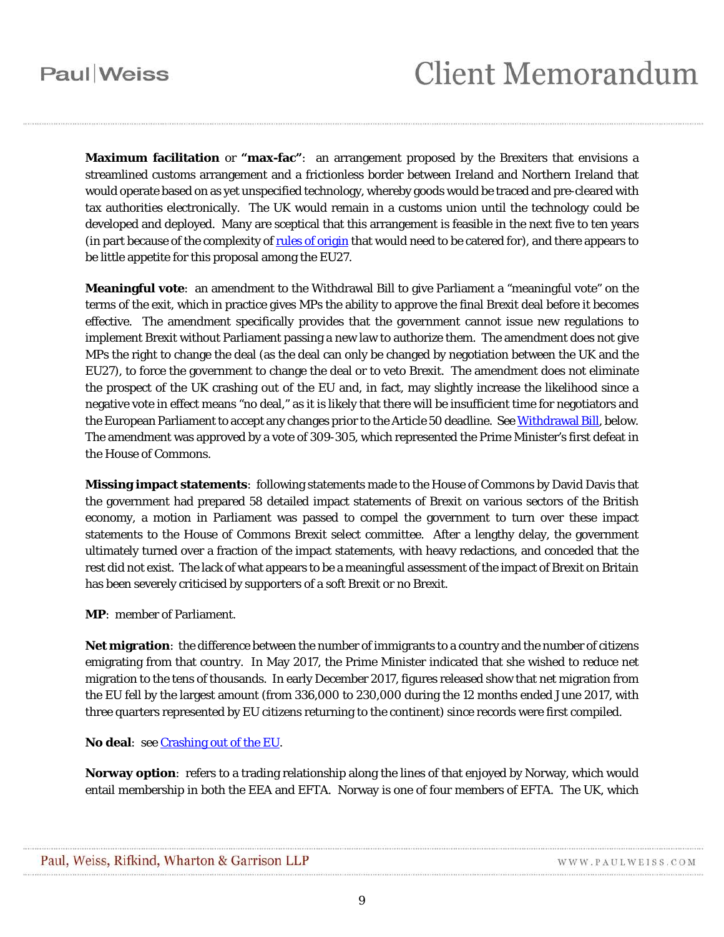<span id="page-8-0"></span>**Maximum facilitation** or **"max-fac"**: an arrangement proposed by the Brexiters that envisions a streamlined customs arrangement and a frictionless border between Ireland and Northern Ireland that would operate based on as yet unspecified technology, whereby goods would be traced and pre-cleared with tax authorities electronically. The UK would remain in a customs union until the technology could be developed and deployed. Many are sceptical that this arrangement is feasible in the next five to ten years (in part because of the complexity o[f rules of origin](#page-10-0) that would need to be catered for), and there appears to be little appetite for this proposal among the EU27.

**Meaningful vote**: an amendment to the Withdrawal Bill to give Parliament a "meaningful vote" on the terms of the exit, which in practice gives MPs the ability to approve the final Brexit deal before it becomes effective. The amendment specifically provides that the government cannot issue new regulations to implement Brexit without Parliament passing a new law to authorize them. The amendment does not give MPs the right to change the deal (as the deal can only be changed by negotiation between the UK and the EU27), to force the government to change the deal or to veto Brexit. The amendment does not eliminate the prospect of the UK crashing out of the EU and, in fact, may slightly increase the likelihood since a negative vote in effect means "no deal," as it is likely that there will be insufficient time for negotiators and the European Parliament to accept any changes prior to the Article 50 deadline. Se[e Withdrawal Bill,](#page-14-5) below. The amendment was approved by a vote of 309-305, which represented the Prime Minister's first defeat in the House of Commons.

<span id="page-8-1"></span>**Missing impact statements**: following statements made to the House of Commons by David Davis that the government had prepared 58 detailed impact statements of Brexit on various sectors of the British economy, a motion in Parliament was passed to compel the government to turn over these impact statements to the House of Commons Brexit select committee. After a lengthy delay, the government ultimately turned over a fraction of the impact statements, with heavy redactions, and conceded that the rest did not exist. The lack of what appears to be a meaningful assessment of the impact of Brexit on Britain has been severely criticised by supporters of a soft Brexit or no Brexit.

**MP**: member of Parliament.

**Net migration**: the difference between the number of immigrants to a country and the number of citizens emigrating from that country. In May 2017, the Prime Minister indicated that she wished to reduce net migration to the tens of thousands. In early December 2017, figures released show that net migration from the EU fell by the largest amount (from 336,000 to 230,000 during the 12 months ended June 2017, with three quarters represented by EU citizens returning to the continent) since records were first compiled.

<span id="page-8-2"></span>**No deal**:se[e Crashing out of the EU.](#page-3-1)

**Norway option**: refers to a trading relationship along the lines of that enjoyed by Norway, which would entail membership in both the EEA and EFTA. Norway is one of four members of EFTA. The UK, which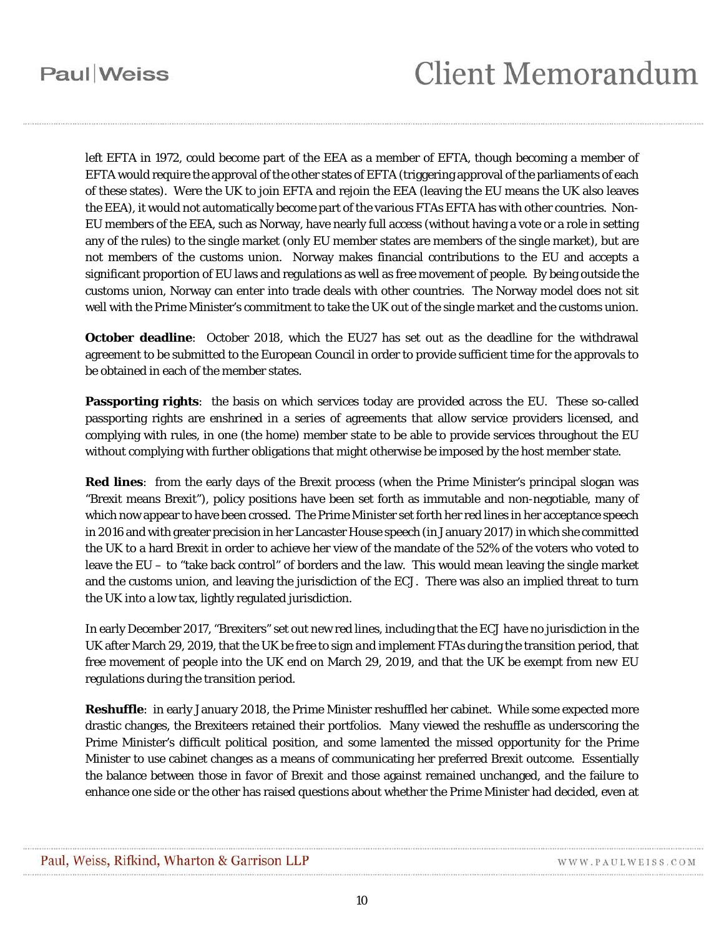left EFTA in 1972, could become part of the EEA as a member of EFTA, though becoming a member of EFTA would require the approval of the other states of EFTA (triggering approval of the parliaments of each of these states). Were the UK to join EFTA and rejoin the EEA (leaving the EU means the UK also leaves the EEA), it would not automatically become part of the various FTAs EFTA has with other countries. Non-EU members of the EEA, such as Norway, have nearly full access (without having a vote or a role in setting any of the rules) to the single market (only EU member states are members of the single market), but are not members of the customs union. Norway makes financial contributions to the EU and accepts a significant proportion of EU laws and regulations as well as free movement of people. By being outside the customs union, Norway can enter into trade deals with other countries. The Norway model does not sit well with the Prime Minister's commitment to take the UK out of the single market and the customs union.

<span id="page-9-0"></span>**October deadline**: October 2018, which the EU27 has set out as the deadline for the withdrawal agreement to be submitted to the European Council in order to provide sufficient time for the approvals to be obtained in each of the member states.

**Passporting rights**: the basis on which services today are provided across the EU. These so-called passporting rights are enshrined in a series of agreements that allow service providers licensed, and complying with rules, in one (the home) member state to be able to provide services throughout the EU without complying with further obligations that might otherwise be imposed by the host member state.

<span id="page-9-1"></span>**Red lines**: from the early days of the Brexit process (when the Prime Minister's principal slogan was "Brexit means Brexit"), policy positions have been set forth as immutable and non-negotiable, many of which now appear to have been crossed. The Prime Minister set forth her red lines in her acceptance speech in 2016 and with greater precision in her Lancaster House speech (in January 2017) in which she committed the UK to a hard Brexit in order to achieve her view of the mandate of the 52% of the voters who voted to leave the EU – to "take back control" of borders and the law. This would mean leaving the single market and the customs union, and leaving the jurisdiction of the ECJ. There was also an implied threat to turn the UK into a low tax, lightly regulated jurisdiction.

In early December 2017, "Brexiters" set out new red lines, including that the ECJ have no jurisdiction in the UK after March 29, 2019, that the UK be free to sign *and implement* FTAs during the transition period, that free movement of people into the UK end on March 29, 2019, and that the UK be exempt from *new* EU regulations during the transition period.

**Reshuffle**: in early January 2018, the Prime Minister reshuffled her cabinet. While some expected more drastic changes, the Brexiteers retained their portfolios. Many viewed the reshuffle as underscoring the Prime Minister's difficult political position, and some lamented the missed opportunity for the Prime Minister to use cabinet changes as a means of communicating her preferred Brexit outcome. Essentially the balance between those in favor of Brexit and those against remained unchanged, and the failure to enhance one side or the other has raised questions about whether the Prime Minister had decided, even at

WWW.PAULWEISS.COM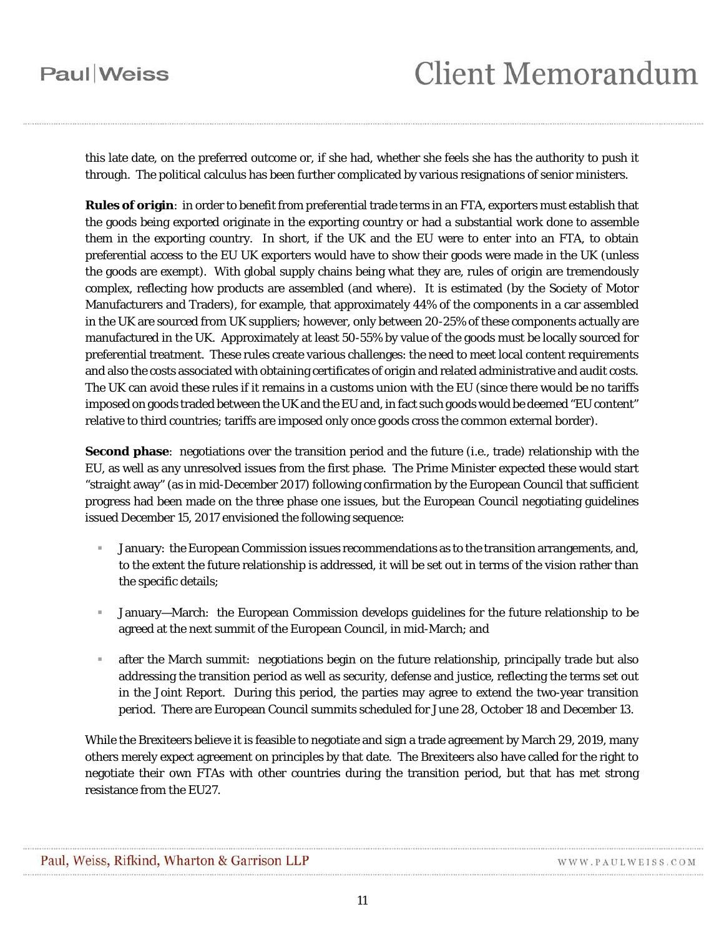## **Client Memorandum**

this late date, on the preferred outcome or, if she had, whether she feels she has the authority to push it through. The political calculus has been further complicated by various resignations of senior ministers.

<span id="page-10-0"></span>**Rules of origin**: in order to benefit from preferential trade terms in an FTA, exporters must establish that the goods being exported originate in the exporting country or had a substantial work done to assemble them in the exporting country. In short, if the UK and the EU were to enter into an FTA, to obtain preferential access to the EU UK exporters would have to show their goods were made in the UK (unless the goods are exempt). With global supply chains being what they are, rules of origin are tremendously complex, reflecting how products are assembled (and where). It is estimated (by the Society of Motor Manufacturers and Traders), for example, that approximately 44% of the components in a car assembled in the UK are sourced from UK suppliers; however, only between 20-25% of these components actually are manufactured in the UK. Approximately at least 50-55% by value of the goods must be locally sourced for preferential treatment. These rules create various challenges: the need to meet local content requirements and also the costs associated with obtaining certificates of origin and related administrative and audit costs. The UK can avoid these rules if it remains in a customs union with the EU (since there would be no tariffs imposed on goods traded between the UK and the EU and, in fact such goods would be deemed "EU content" relative to third countries; tariffs are imposed only once goods cross the common external border).

**Second phase**: negotiations over the transition period and the future (*i.e.*, trade) relationship with the EU, as well as any unresolved issues from the first phase. The Prime Minister expected these would start "straight away" (as in mid-December 2017) following confirmation by the European Council that sufficient progress had been made on the three phase one issues, but the European Council negotiating guidelines issued December 15, 2017 envisioned the following sequence:

- January: the European Commission issues recommendations as to the transition arrangements, and, to the extent the future relationship is addressed, it will be set out in terms of the vision rather than the specific details;
- January—March: the European Commission develops guidelines for the future relationship to be agreed at the next summit of the European Council, in mid-March; and
- after the March summit: negotiations begin on the future relationship, principally trade but also addressing the transition period as well as security, defense and justice, reflecting the terms set out in the Joint Report. During this period, the parties may agree to extend the two-year transition period. There are European Council summits scheduled for June 28, October 18 and December 13.

While the Brexiteers believe it is feasible to negotiate and sign a trade agreement by March 29, 2019, many others merely expect agreement on principles by that date. The Brexiteers also have called for the right to negotiate their own FTAs with other countries during the transition period, but that has met strong resistance from the EU27.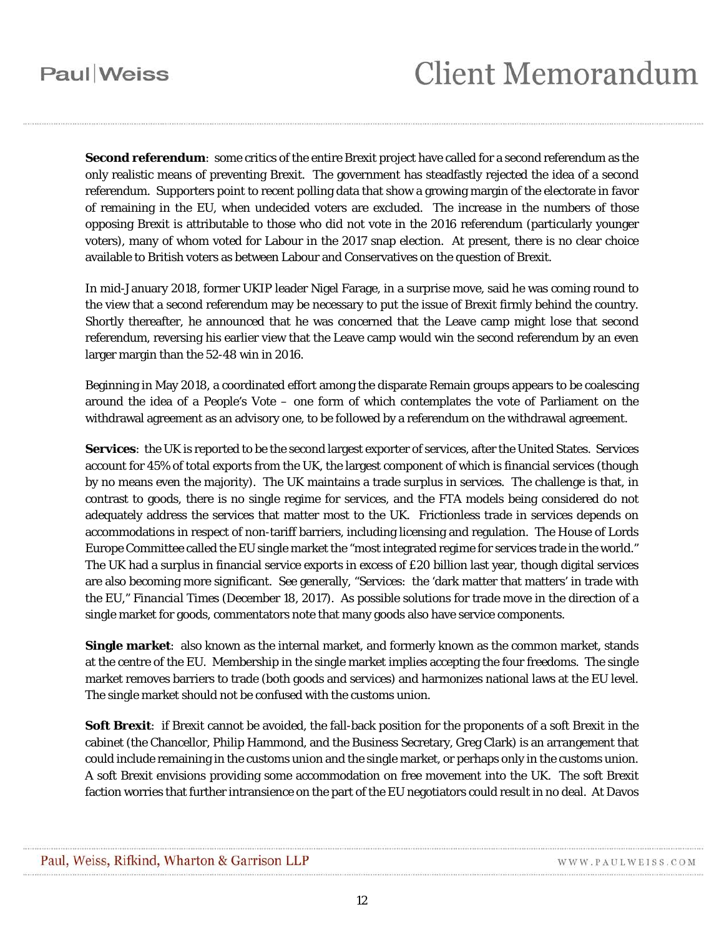**Second referendum**: some critics of the entire Brexit project have called for a second referendum as the only realistic means of preventing Brexit. The government has steadfastly rejected the idea of a second referendum. Supporters point to recent polling data that show a growing margin of the electorate in favor of remaining in the EU, when undecided voters are excluded. The increase in the numbers of those opposing Brexit is attributable to those who did not vote in the 2016 referendum (particularly younger voters), many of whom voted for Labour in the 2017 snap election. At present, there is no clear choice available to British voters as between Labour and Conservatives on the question of Brexit.

In mid-January 2018, former UKIP leader Nigel Farage, in a surprise move, said he was coming round to the view that a second referendum may be necessary to put the issue of Brexit firmly behind the country. Shortly thereafter, he announced that he was concerned that the Leave camp might lose that second referendum, reversing his earlier view that the Leave camp would win the second referendum by an even larger margin than the 52-48 win in 2016.

Beginning in May 2018, a coordinated effort among the disparate Remain groups appears to be coalescing around the idea of a People's Vote – one form of which contemplates the vote of Parliament on the withdrawal agreement as an advisory one, to be followed by a referendum on the withdrawal agreement.

<span id="page-11-1"></span>**Services**: the UK is reported to be the second largest exporter of services, after the United States. Services account for 45% of total exports from the UK, the largest component of which is financial services (though by no means even the majority). The UK maintains a trade surplus in services. The challenge is that, in contrast to goods, there is no single regime for services, and the FTA models being considered do not adequately address the services that matter most to the UK. Frictionless trade in services depends on accommodations in respect of non-tariff barriers, including licensing and regulation. The House of Lords Europe Committee called the EU single market the "most integrated regime for services trade in the world." The UK had a surplus in financial service exports in excess of £20 billion last year, though digital services are also becoming more significant. See generally, "Services: the 'dark matter that matters' in trade with the EU," *Financial Times* (December 18, 2017). As possible solutions for trade move in the direction of a single market for goods, commentators note that many goods also have service components.

<span id="page-11-0"></span>**Single market**: also known as the internal market, and formerly known as the common market, stands at the centre of the EU. Membership in the single market implies accepting the four freedoms. The single market removes barriers to trade (both goods and services) and harmonizes national laws at the EU level. The single market should not be confused with the customs union.

**Soft Brexit**: if Brexit cannot be avoided, the fall-back position for the proponents of a soft Brexit in the cabinet (the Chancellor, Philip Hammond, and the Business Secretary, Greg Clark) is an arrangement that could include remaining in the customs union and the single market, or perhaps only in the customs union. A soft Brexit envisions providing some accommodation on free movement into the UK. The soft Brexit faction worries that further intransience on the part of the EU negotiators could result in no deal. At Davos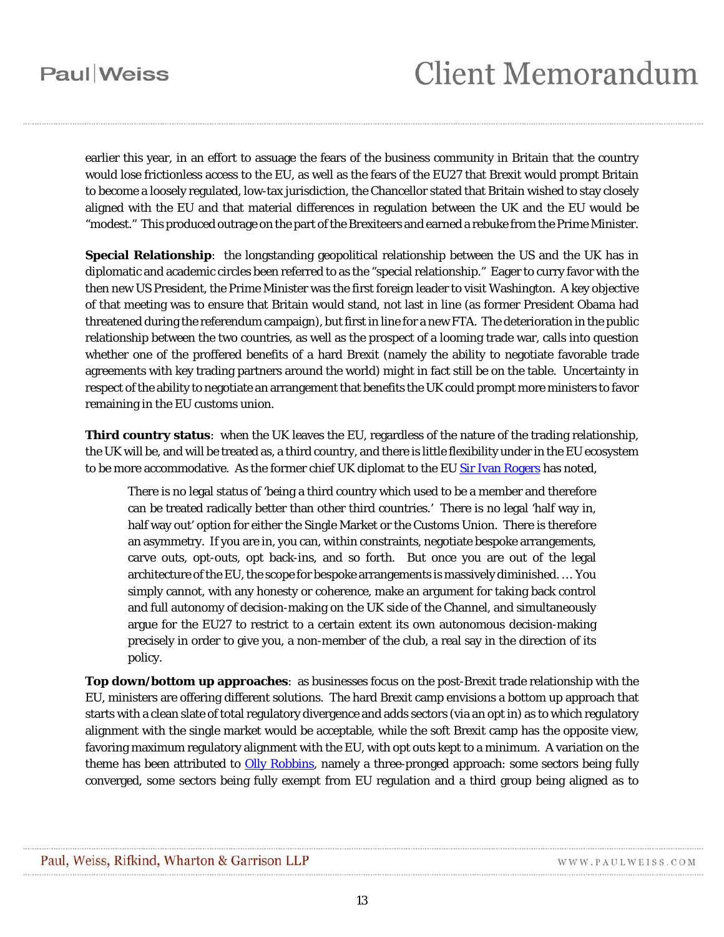earlier this year, in an effort to assuage the fears of the business community in Britain that the country would lose frictionless access to the EU, as well as the fears of the EU27 that Brexit would prompt Britain to become a loosely regulated, low-tax jurisdiction, the Chancellor stated that Britain wished to stay closely aligned with the EU and that material differences in regulation between the UK and the EU would be "modest." This produced outrage on the part of the Brexiteers and earned a rebuke from the Prime Minister.

**Special Relationship**: the longstanding geopolitical relationship between the US and the UK has in diplomatic and academic circles been referred to as the "special relationship." Eager to curry favor with the then new US President, the Prime Minister was the first foreign leader to visit Washington. A key objective of that meeting was to ensure that Britain would stand, not last in line (as former President Obama had threatened during the referendum campaign), but first in line for a new FTA. The deterioration in the public relationship between the two countries, as well as the prospect of a looming trade war, calls into question whether one of the proffered benefits of a hard Brexit (namely the ability to negotiate favorable trade agreements with key trading partners around the world) might in fact still be on the table. Uncertainty in respect of the ability to negotiate an arrangement that benefits the UK could prompt more ministers to favor remaining in the EU customs union.

**Third country status**: when the UK leaves the EU, regardless of the nature of the trading relationship, the UK will be, and will be treated as, a third country, and there is little flexibility under in the EU ecosystem to be more accommodative. As the former chief UK diplomat to the EU [Sir Ivan Rogers](#page-15-0) has noted,

There is no legal status of 'being a third country which used to be a member and therefore can be treated radically better than other third countries.' There is no legal 'half way in, half way out' option for either the Single Market or the Customs Union. There is therefore an asymmetry. If you are in, you can, within constraints, negotiate bespoke arrangements, carve outs, opt-outs, opt back-ins, and so forth. But once you are out of the legal architecture of the EU, the scope for bespoke arrangements is massively diminished. … You simply cannot, with any honesty or coherence, make an argument for taking back control and full autonomy of decision-making on the UK side of the Channel, and simultaneously argue for the EU27 to restrict to a certain extent its own autonomous decision-making precisely in order to give you, a non-member of the club, a real say in the direction of its policy.

**Top down/bottom up approaches**: as businesses focus on the post-Brexit trade relationship with the EU, ministers are offering different solutions. The hard Brexit camp envisions a bottom up approach that starts with a clean slate of total regulatory divergence and adds sectors (via an opt in) as to which regulatory alignment with the single market would be acceptable, while the soft Brexit camp has the opposite view, favoring maximum regulatory alignment with the EU, with opt outs kept to a minimum. A variation on the theme has been attributed to *Olly Robbins*, namely a three-pronged approach: some sectors being fully converged, some sectors being fully exempt from EU regulation and a third group being aligned as to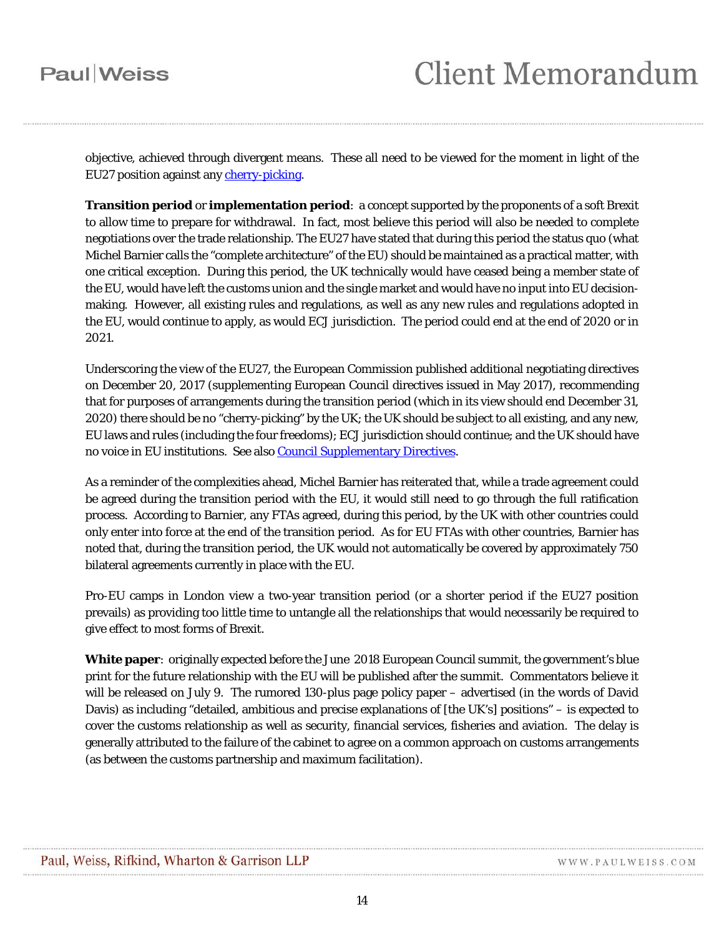objective, achieved through divergent means. These all need to be viewed for the moment in light of the EU27 position against any [cherry-picking.](#page-2-1)

<span id="page-13-0"></span>**Transition period** or **implementation period**: a concept supported by the proponents of a soft Brexit to allow time to prepare for withdrawal. In fact, most believe this period will also be needed to complete negotiations over the trade relationship. The EU27 have stated that during this period the status quo (what Michel Barnier calls the "complete architecture" of the EU) should be maintained as a practical matter, with one critical exception. During this period, the UK technically would have ceased being a member state of the EU, would have left the customs union and the single market and would have no input into EU decisionmaking. However, all existing rules and regulations, as well as any new rules and regulations adopted in the EU, would continue to apply, as would ECJ jurisdiction. The period could end at the end of 2020 or in 2021.

Underscoring the view of the EU27, the European Commission published additional negotiating directives on December 20, 2017 (supplementing European Council directives issued in May 2017), recommending that for purposes of arrangements during the transition period (which in its view should end December 31, 2020) there should be no "cherry-picking" by the UK; the UK should be subject to all existing, and any new, EU laws and rules (including the four freedoms); ECJ jurisdiction should continue; and the UK should have no voice in EU institutions. See als[o Council Supplementary Directives.](#page-2-2)

As a reminder of the complexities ahead, Michel Barnier has reiterated that, while a trade agreement could be agreed during the transition period with the EU, it would still need to go through the full ratification process. According to Barnier, any FTAs agreed, during this period, by the UK with other countries could only enter into force at the end of the transition period. As for EU FTAs with other countries, Barnier has noted that, during the transition period, the UK would not automatically be covered by approximately 750 bilateral agreements currently in place with the EU.

Pro-EU camps in London view a two-year transition period (or a shorter period if the EU27 position prevails) as providing too little time to untangle all the relationships that would necessarily be required to give effect to most forms of Brexit.

**White paper**: originally expected before the June 2018 European Council summit, the government's blue print for the future relationship with the EU will be published after the summit. Commentators believe it will be released on July 9. The rumored 130-plus page policy paper – advertised (in the words of David Davis) as including "detailed, ambitious and precise explanations of [the UK's] positions" – is expected to cover the customs relationship as well as security, financial services, fisheries and aviation. The delay is generally attributed to the failure of the cabinet to agree on a common approach on customs arrangements (as between the customs partnership and maximum facilitation).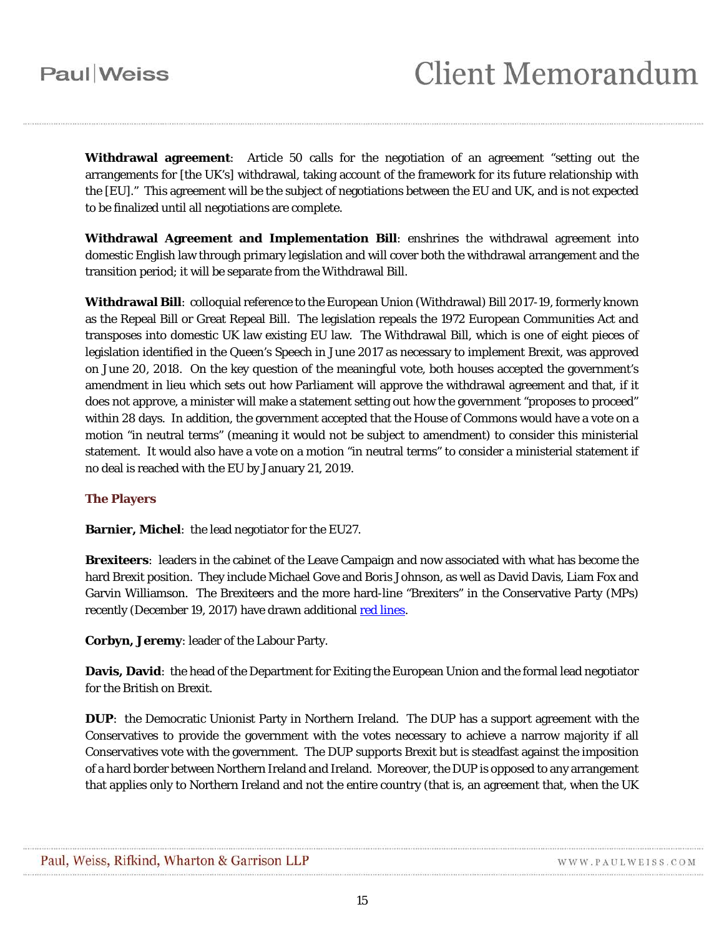<span id="page-14-0"></span>**Withdrawal agreement**: Article 50 calls for the negotiation of an agreement "setting out the arrangements for [the UK's] withdrawal, taking account of the framework for its future relationship with the [EU]." This agreement will be the subject of negotiations between the EU and UK, and is not expected to be finalized until all negotiations are complete.

**Withdrawal Agreement and Implementation Bill**: enshrines the withdrawal agreement into domestic English law through primary legislation and will cover both the withdrawal arrangement and the transition period; it will be separate from the Withdrawal Bill.

<span id="page-14-5"></span>**Withdrawal Bill**: colloquial reference to the European Union (Withdrawal) Bill 2017-19, formerly known as the Repeal Bill or Great Repeal Bill. The legislation repeals the 1972 European Communities Act and transposes into domestic UK law existing EU law. The Withdrawal Bill, which is one of eight pieces of legislation identified in the Queen's Speech in June 2017 as necessary to implement Brexit, was approved on June 20, 2018. On the key question of the meaningful vote, both houses accepted the government's amendment in lieu which sets out how Parliament will approve the withdrawal agreement and that, if it does not approve, a minister will make a statement setting out how the government "proposes to proceed" within 28 days. In addition, the government accepted that the House of Commons would have a vote on a motion "in neutral terms" (meaning it would not be subject to amendment) to consider this ministerial statement. It would also have a vote on a motion "in neutral terms" to consider a ministerial statement if no deal is reached with the EU by January 21, 2019.

#### **The Players**

<span id="page-14-3"></span>**Barnier, Michel**: the lead negotiator for the EU27.

<span id="page-14-4"></span>**Brexiteers**: leaders in the cabinet of the Leave Campaign and now associated with what has become the hard Brexit position. They include Michael Gove and Boris Johnson, as well as David Davis, Liam Fox and Garvin Williamson. The Brexiteers and the more hard-line "Brexiters" in the Conservative Party (MPs) recently (December 19, 2017) have drawn additional [red lines.](#page-9-1)

**Corbyn, Jeremy**: leader of the Labour Party.

<span id="page-14-2"></span>**Davis, David**: the head of the Department for Exiting the European Union and the formal lead negotiator for the British on Brexit.

<span id="page-14-1"></span>**DUP**: the Democratic Unionist Party in Northern Ireland. The DUP has a support agreement with the Conservatives to provide the government with the votes necessary to achieve a narrow majority if all Conservatives vote with the government. The DUP supports Brexit but is steadfast against the imposition of a hard border between Northern Ireland and Ireland. Moreover, the DUP is opposed to any arrangement that applies only to Northern Ireland and not the entire country (that is, an agreement that, when the UK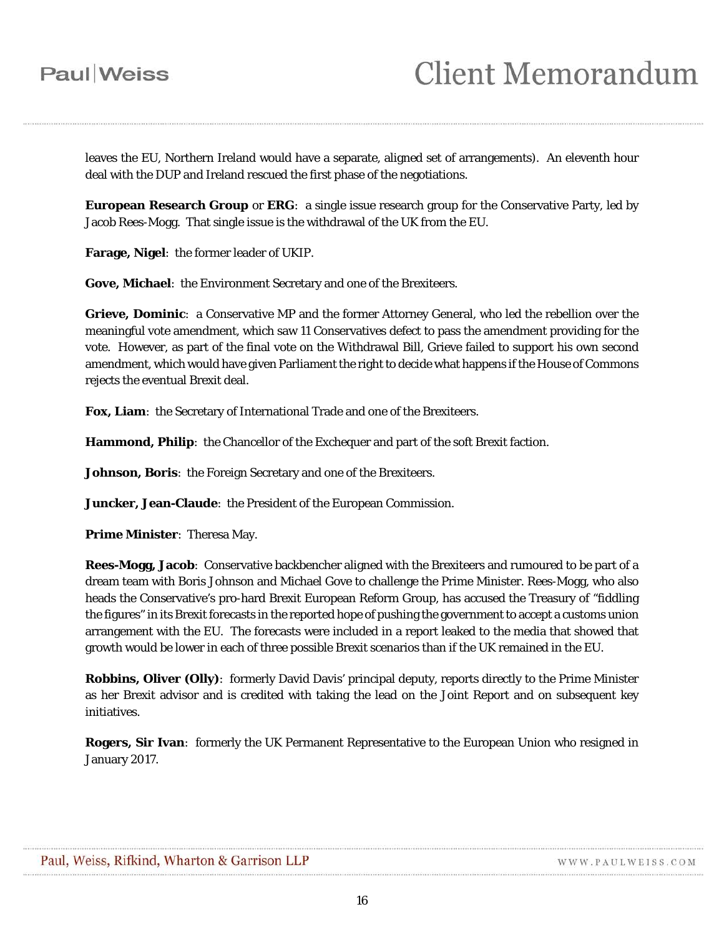leaves the EU, Northern Ireland would have a separate, aligned set of arrangements). An eleventh hour deal with the DUP and Ireland rescued the first phase of the negotiations.

**European Research Group** or **ERG**: a single issue research group for the Conservative Party, led by Jacob Rees-Mogg. That single issue is the withdrawal of the UK from the EU.

**Farage, Nigel**: the former leader of UKIP.

**Gove, Michael**: the Environment Secretary and one of the Brexiteers.

**Grieve, Dominic**: a Conservative MP and the former Attorney General, who led the rebellion over the meaningful vote amendment, which saw 11 Conservatives defect to pass the amendment providing for the vote. However, as part of the final vote on the Withdrawal Bill, Grieve failed to support his own second amendment, which would have given Parliament the right to decide what happens if the House of Commons rejects the eventual Brexit deal.

**Fox, Liam**: the Secretary of International Trade and one of the Brexiteers.

**Hammond, Philip**: the Chancellor of the Exchequer and part of the soft Brexit faction.

**Johnson, Boris**: the Foreign Secretary and one of the Brexiteers.

**Juncker, Jean-Claude**: the President of the European Commission.

**Prime Minister**: Theresa May.

**Rees-Mogg, Jacob**: Conservative backbencher aligned with the Brexiteers and rumoured to be part of a dream team with Boris Johnson and Michael Gove to challenge the Prime Minister. Rees-Mogg, who also heads the Conservative's pro-hard Brexit European Reform Group, has accused the Treasury of "fiddling the figures" in its Brexit forecasts in the reported hope of pushing the government to accept a customs union arrangement with the EU. The forecasts were included in a report leaked to the media that showed that growth would be lower in each of three possible Brexit scenarios than if the UK remained in the EU.

<span id="page-15-1"></span>**Robbins, Oliver (Olly)**: formerly David Davis' principal deputy, reports directly to the Prime Minister as her Brexit advisor and is credited with taking the lead on the Joint Report and on subsequent key initiatives.

<span id="page-15-0"></span>**Rogers, Sir Ivan**: formerly the UK Permanent Representative to the European Union who resigned in January 2017.